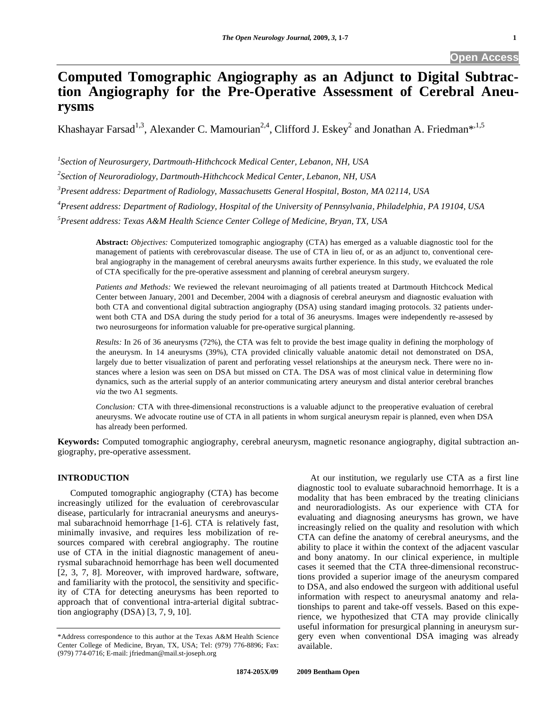# **Computed Tomographic Angiography as an Adjunct to Digital Subtraction Angiography for the Pre-Operative Assessment of Cerebral Aneurysms**

Khashayar Farsad<sup>1,3</sup>, Alexander C. Mamourian<sup>2,4</sup>, Clifford J. Eskey<sup>2</sup> and Jonathan A. Friedman<sup>\*,1,5</sup>

*1 Section of Neurosurgery, Dartmouth-Hithchcock Medical Center, Lebanon, NH, USA* 

*2 Section of Neuroradiology, Dartmouth-Hithchcock Medical Center, Lebanon, NH, USA* 

*3 Present address: Department of Radiology, Massachusetts General Hospital, Boston, MA 02114, USA* 

*4 Present address: Department of Radiology, Hospital of the University of Pennsylvania, Philadelphia, PA 19104, USA* 

*5 Present address: Texas A&M Health Science Center College of Medicine, Bryan, TX, USA* 

**Abstract:** *Objectives:* Computerized tomographic angiography (CTA) has emerged as a valuable diagnostic tool for the management of patients with cerebrovascular disease. The use of CTA in lieu of, or as an adjunct to, conventional cerebral angiography in the management of cerebral aneurysms awaits further experience. In this study, we evaluated the role of CTA specifically for the pre-operative assessment and planning of cerebral aneurysm surgery.

*Patients and Methods:* We reviewed the relevant neuroimaging of all patients treated at Dartmouth Hitchcock Medical Center between January, 2001 and December, 2004 with a diagnosis of cerebral aneurysm and diagnostic evaluation with both CTA and conventional digital subtraction angiography (DSA) using standard imaging protocols. 32 patients underwent both CTA and DSA during the study period for a total of 36 aneurysms. Images were independently re-assesed by two neurosurgeons for information valuable for pre-operative surgical planning.

*Results:* In 26 of 36 aneurysms (72%), the CTA was felt to provide the best image quality in defining the morphology of the aneurysm. In 14 aneurysms (39%), CTA provided clinically valuable anatomic detail not demonstrated on DSA, largely due to better visualization of parent and perforating vessel relationships at the aneurysm neck. There were no instances where a lesion was seen on DSA but missed on CTA. The DSA was of most clinical value in determining flow dynamics, such as the arterial supply of an anterior communicating artery aneurysm and distal anterior cerebral branches *via* the two A1 segments.

*Conclusion:* CTA with three-dimensional reconstructions is a valuable adjunct to the preoperative evaluation of cerebral aneurysms. We advocate routine use of CTA in all patients in whom surgical aneurysm repair is planned, even when DSA has already been performed.

**Keywords:** Computed tomographic angiography, cerebral aneurysm, magnetic resonance angiography, digital subtraction angiography, pre-operative assessment.

## **INTRODUCTION**

 Computed tomographic angiography (CTA) has become increasingly utilized for the evaluation of cerebrovascular disease, particularly for intracranial aneurysms and aneurysmal subarachnoid hemorrhage [1-6]. CTA is relatively fast, minimally invasive, and requires less mobilization of resources compared with cerebral angiography. The routine use of CTA in the initial diagnostic management of aneurysmal subarachnoid hemorrhage has been well documented [2, 3, 7, 8]. Moreover, with improved hardware, software, and familiarity with the protocol, the sensitivity and specificity of CTA for detecting aneurysms has been reported to approach that of conventional intra-arterial digital subtraction angiography (DSA) [3, 7, 9, 10].

 At our institution, we regularly use CTA as a first line diagnostic tool to evaluate subarachnoid hemorrhage. It is a modality that has been embraced by the treating clinicians and neuroradiologists. As our experience with CTA for evaluating and diagnosing aneurysms has grown, we have increasingly relied on the quality and resolution with which CTA can define the anatomy of cerebral aneurysms, and the ability to place it within the context of the adjacent vascular and bony anatomy. In our clinical experience, in multiple cases it seemed that the CTA three-dimensional reconstructions provided a superior image of the aneurysm compared to DSA, and also endowed the surgeon with additional useful information with respect to aneurysmal anatomy and relationships to parent and take-off vessels. Based on this experience, we hypothesized that CTA may provide clinically useful information for presurgical planning in aneurysm surgery even when conventional DSA imaging was already available.

<sup>\*</sup>Address correspondence to this author at the Texas A&M Health Science Center College of Medicine, Bryan, TX, USA; Tel: (979) 776-8896; Fax: (979) 774-0716; E-mail: jfriedman@mail.st-joseph.org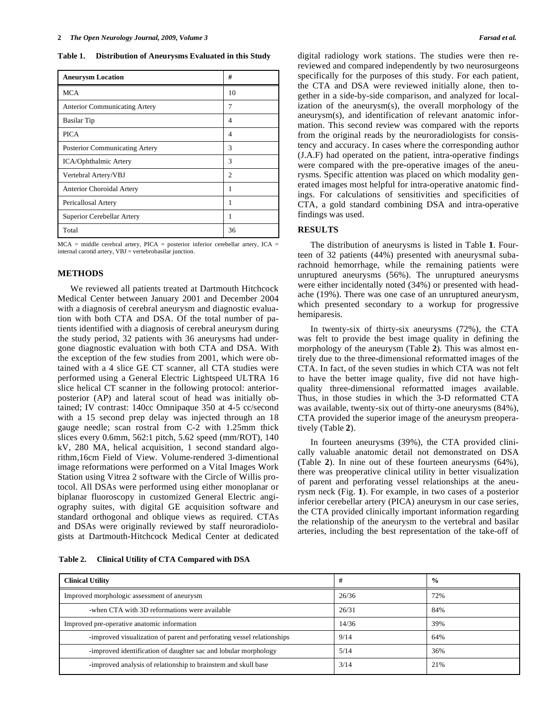**Table 1. Distribution of Aneurysms Evaluated in this Study** 

| <b>Aneurysm Location</b>             | #              |
|--------------------------------------|----------------|
| <b>MCA</b>                           | 10             |
| <b>Anterior Communicating Artery</b> | 7              |
| <b>Basilar</b> Tip                   | 4              |
| <b>PICA</b>                          | 4              |
| Posterior Communicating Artery       | 3              |
| ICA/Ophthalmic Artery                | 3              |
| Vertebral Artery/VBJ                 | $\mathfrak{D}$ |
| <b>Anterior Choroidal Artery</b>     |                |
| Pericallosal Artery                  |                |
| Superior Cerebellar Artery           |                |
| Total                                | 36             |

 $MCA$  = middle cerebral artery, PICA = posterior inferior cerebellar artery, ICA = internal carotid artery, VBJ = vertebrobasilar junction.

## **METHODS**

 We reviewed all patients treated at Dartmouth Hitchcock Medical Center between January 2001 and December 2004 with a diagnosis of cerebral aneurysm and diagnostic evaluation with both CTA and DSA. Of the total number of patients identified with a diagnosis of cerebral aneurysm during the study period, 32 patients with 36 aneurysms had undergone diagnostic evaluation with both CTA and DSA. With the exception of the few studies from 2001, which were obtained with a 4 slice GE CT scanner, all CTA studies were performed using a General Electric Lightspeed ULTRA 16 slice helical CT scanner in the following protocol: anteriorposterior (AP) and lateral scout of head was initially obtained; IV contrast: 140cc Omnipaque 350 at 4-5 cc/second with a 15 second prep delay was injected through an 18 gauge needle; scan rostral from C-2 with 1.25mm thick slices every 0.6mm, 562:1 pitch, 5.62 speed (mm/ROT), 140 kV, 280 MA, helical acquisition, 1 second standard algorithm,16cm Field of View. Volume-rendered 3-dimentional image reformations were performed on a Vital Images Work Station using Vitrea 2 software with the Circle of Willis protocol. All DSAs were performed using either monoplanar or biplanar fluoroscopy in customized General Electric angiography suites, with digital GE acquisition software and standard orthogonal and oblique views as required. CTAs and DSAs were originally reviewed by staff neuroradiologists at Dartmouth-Hitchcock Medical Center at dedicated

**Table 2. Clinical Utility of CTA Compared with DSA** 

digital radiology work stations. The studies were then rereviewed and compared independently by two neurosurgeons specifically for the purposes of this study. For each patient, the CTA and DSA were reviewed initially alone, then together in a side-by-side comparison, and analyzed for localization of the aneurysm(s), the overall morphology of the aneurysm(s), and identification of relevant anatomic information. This second review was compared with the reports from the original reads by the neuroradiologists for consistency and accuracy. In cases where the corresponding author (J.A.F) had operated on the patient, intra-operative findings were compared with the pre-operative images of the aneurysms. Specific attention was placed on which modality generated images most helpful for intra-operative anatomic findings. For calculations of sensitivities and specificities of CTA, a gold standard combining DSA and intra-operative findings was used.

## **RESULTS**

 The distribution of aneurysms is listed in Table **1**. Fourteen of 32 patients (44%) presented with aneurysmal subarachnoid hemorrhage, while the remaining patients were unruptured aneurysms (56%). The unruptured aneurysms were either incidentally noted (34%) or presented with headache (19%). There was one case of an unruptured aneurysm, which presented secondary to a workup for progressive hemiparesis.

 In twenty-six of thirty-six aneurysms (72%), the CTA was felt to provide the best image quality in defining the morphology of the aneurysm (Table **2**). This was almost entirely due to the three-dimensional reformatted images of the CTA. In fact, of the seven studies in which CTA was not felt to have the better image quality, five did not have highquality three-dimensional reformatted images available. Thus, in those studies in which the 3-D reformatted CTA was available, twenty-six out of thirty-one aneurysms (84%), CTA provided the superior image of the aneurysm preoperatively (Table **2**).

 In fourteen aneurysms (39%), the CTA provided clinically valuable anatomic detail not demonstrated on DSA (Table **2**). In nine out of these fourteen aneurysms (64%), there was preoperative clinical utility in better visualization of parent and perforating vessel relationships at the aneurysm neck (Fig. **1**). For example, in two cases of a posterior inferior cerebellar artery (PICA) aneurysm in our case series, the CTA provided clinically important information regarding the relationship of the aneurysm to the vertebral and basilar arteries, including the best representation of the take-off of

| <b>Clinical Utility</b>                                                | #     | $\frac{0}{0}$ |
|------------------------------------------------------------------------|-------|---------------|
| Improved morphologic assessment of aneurysm                            | 26/36 | 72%           |
| -when CTA with 3D reformations were available                          | 26/31 | 84%           |
| Improved pre-operative anatomic information                            | 14/36 | 39%           |
| -improved visualization of parent and perforating vessel relationships | 9/14  | 64%           |
| -improved identification of daughter sac and lobular morphology        | 5/14  | 36%           |
| -improved analysis of relationship to brainstem and skull base         | 3/14  | 21%           |
|                                                                        |       |               |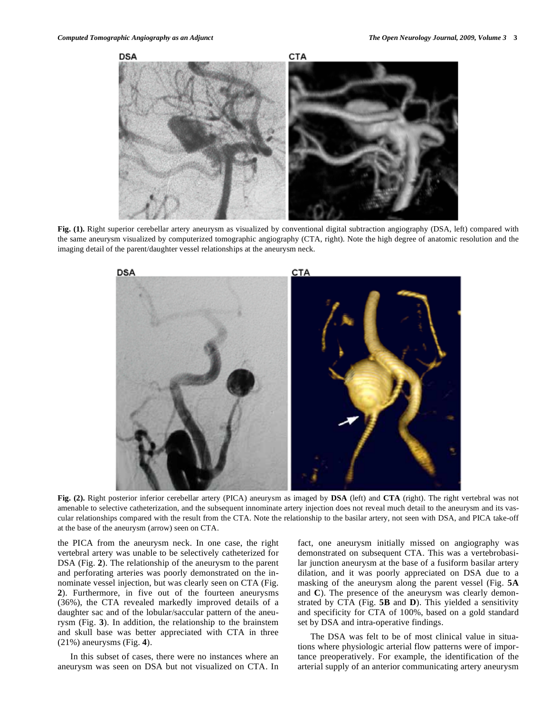

Fig. (1). Right superior cerebellar artery aneurysm as visualized by conventional digital subtraction angiography (DSA, left) compared with the same aneurysm visualized by computerized tomographic angiography (CTA, right). Note the high degree of anatomic resolution and the imaging detail of the parent/daughter vessel relationships at the aneurysm neck.



**Fig. (2).** Right posterior inferior cerebellar artery (PICA) aneurysm as imaged by **DSA** (left) and **CTA** (right). The right vertebral was not amenable to selective catheterization, and the subsequent innominate artery injection does not reveal much detail to the aneurysm and its vascular relationships compared with the result from the CTA. Note the relationship to the basilar artery, not seen with DSA, and PICA take-off at the base of the aneurysm (arrow) seen on CTA.

the PICA from the aneurysm neck. In one case, the right vertebral artery was unable to be selectively catheterized for DSA (Fig. **2**). The relationship of the aneurysm to the parent and perforating arteries was poorly demonstrated on the innominate vessel injection, but was clearly seen on CTA (Fig. **2**). Furthermore, in five out of the fourteen aneurysms (36%), the CTA revealed markedly improved details of a daughter sac and of the lobular/saccular pattern of the aneurysm (Fig. **3**). In addition, the relationship to the brainstem and skull base was better appreciated with CTA in three (21%) aneurysms (Fig. **4**).

 In this subset of cases, there were no instances where an aneurysm was seen on DSA but not visualized on CTA. In fact, one aneurysm initially missed on angiography was demonstrated on subsequent CTA. This was a vertebrobasilar junction aneurysm at the base of a fusiform basilar artery dilation, and it was poorly appreciated on DSA due to a masking of the aneurysm along the parent vessel (Fig. **5A** and **C**). The presence of the aneurysm was clearly demonstrated by CTA (Fig. **5B** and **D**). This yielded a sensitivity and specificity for CTA of 100%, based on a gold standard set by DSA and intra-operative findings.

 The DSA was felt to be of most clinical value in situations where physiologic arterial flow patterns were of importance preoperatively. For example, the identification of the arterial supply of an anterior communicating artery aneurysm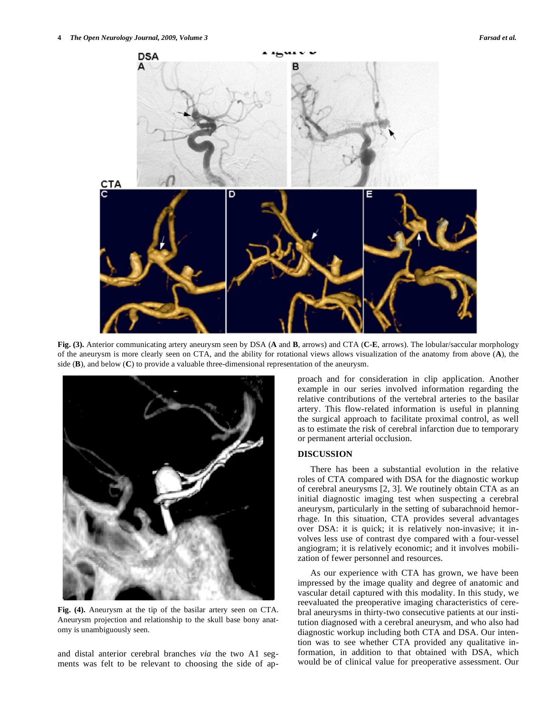

**Fig. (3).** Anterior communicating artery aneurysm seen by DSA (**A** and **B**, arrows) and CTA (**C-E**, arrows). The lobular/saccular morphology of the aneurysm is more clearly seen on CTA, and the ability for rotational views allows visualization of the anatomy from above (**A**), the side (**B**), and below (**C**) to provide a valuable three-dimensional representation of the aneurysm.



**Fig. (4).** Aneurysm at the tip of the basilar artery seen on CTA. Aneurysm projection and relationship to the skull base bony anatomy is unambiguously seen.

and distal anterior cerebral branches *via* the two A1 segments was felt to be relevant to choosing the side of approach and for consideration in clip application. Another example in our series involved information regarding the relative contributions of the vertebral arteries to the basilar artery. This flow-related information is useful in planning the surgical approach to facilitate proximal control, as well as to estimate the risk of cerebral infarction due to temporary or permanent arterial occlusion.

### **DISCUSSION**

 There has been a substantial evolution in the relative roles of CTA compared with DSA for the diagnostic workup of cerebral aneurysms [2, 3]. We routinely obtain CTA as an initial diagnostic imaging test when suspecting a cerebral aneurysm, particularly in the setting of subarachnoid hemorrhage. In this situation, CTA provides several advantages over DSA: it is quick; it is relatively non-invasive; it involves less use of contrast dye compared with a four-vessel angiogram; it is relatively economic; and it involves mobilization of fewer personnel and resources.

 As our experience with CTA has grown, we have been impressed by the image quality and degree of anatomic and vascular detail captured with this modality. In this study, we reevaluated the preoperative imaging characteristics of cerebral aneurysms in thirty-two consecutive patients at our institution diagnosed with a cerebral aneurysm, and who also had diagnostic workup including both CTA and DSA. Our intention was to see whether CTA provided any qualitative information, in addition to that obtained with DSA, which would be of clinical value for preoperative assessment. Our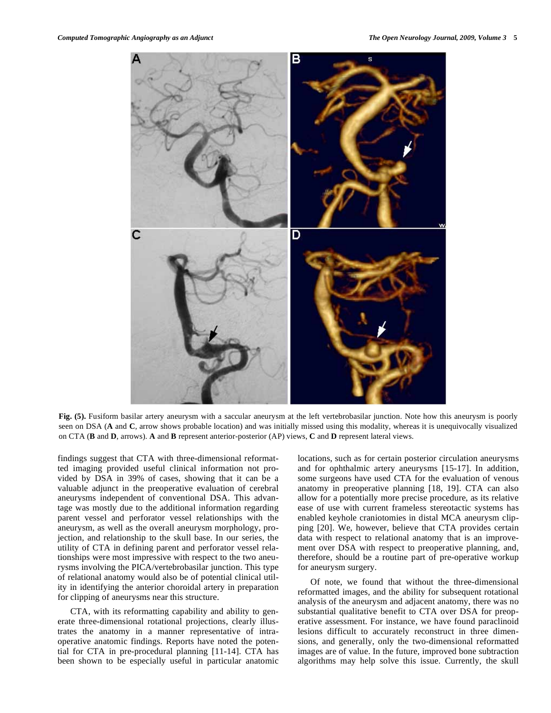

**Fig. (5).** Fusiform basilar artery aneurysm with a saccular aneurysm at the left vertebrobasilar junction. Note how this aneurysm is poorly seen on DSA (**A** and **C**, arrow shows probable location) and was initially missed using this modality, whereas it is unequivocally visualized on CTA (**B** and **D**, arrows). **A** and **B** represent anterior-posterior (AP) views, **C** and **D** represent lateral views.

findings suggest that CTA with three-dimensional reformatted imaging provided useful clinical information not provided by DSA in 39% of cases, showing that it can be a valuable adjunct in the preoperative evaluation of cerebral aneurysms independent of conventional DSA. This advantage was mostly due to the additional information regarding parent vessel and perforator vessel relationships with the aneurysm, as well as the overall aneurysm morphology, projection, and relationship to the skull base. In our series, the utility of CTA in defining parent and perforator vessel relationships were most impressive with respect to the two aneurysms involving the PICA/vertebrobasilar junction. This type of relational anatomy would also be of potential clinical utility in identifying the anterior choroidal artery in preparation for clipping of aneurysms near this structure.

 CTA, with its reformatting capability and ability to generate three-dimensional rotational projections, clearly illustrates the anatomy in a manner representative of intraoperative anatomic findings. Reports have noted the potential for CTA in pre-procedural planning [11-14]. CTA has been shown to be especially useful in particular anatomic locations, such as for certain posterior circulation aneurysms and for ophthalmic artery aneurysms [15-17]. In addition, some surgeons have used CTA for the evaluation of venous anatomy in preoperative planning [18, 19]. CTA can also allow for a potentially more precise procedure, as its relative ease of use with current frameless stereotactic systems has enabled keyhole craniotomies in distal MCA aneurysm clipping [20]. We, however, believe that CTA provides certain data with respect to relational anatomy that is an improvement over DSA with respect to preoperative planning, and, therefore, should be a routine part of pre-operative workup for aneurysm surgery.

 Of note, we found that without the three-dimensional reformatted images, and the ability for subsequent rotational analysis of the aneurysm and adjacent anatomy, there was no substantial qualitative benefit to CTA over DSA for preoperative assessment. For instance, we have found paraclinoid lesions difficult to accurately reconstruct in three dimensions, and generally, only the two-dimensional reformatted images are of value. In the future, improved bone subtraction algorithms may help solve this issue. Currently, the skull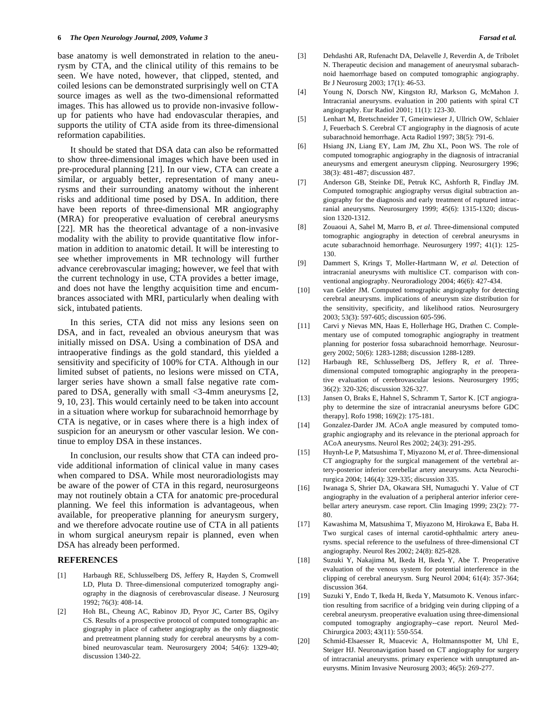base anatomy is well demonstrated in relation to the aneurysm by CTA, and the clinical utility of this remains to be seen. We have noted, however, that clipped, stented, and coiled lesions can be demonstrated surprisingly well on CTA source images as well as the two-dimensional reformatted images. This has allowed us to provide non-invasive followup for patients who have had endovascular therapies, and supports the utility of CTA aside from its three-dimensional reformation capabilities.

 It should be stated that DSA data can also be reformatted to show three-dimensional images which have been used in pre-procedural planning [21]. In our view, CTA can create a similar, or arguably better, representation of many aneurysms and their surrounding anatomy without the inherent risks and additional time posed by DSA. In addition, there have been reports of three-dimensional MR angiography (MRA) for preoperative evaluation of cerebral aneurysms [22]. MR has the theoretical advantage of a non-invasive modality with the ability to provide quantitative flow information in addition to anatomic detail. It will be interesting to see whether improvements in MR technology will further advance cerebrovascular imaging; however, we feel that with the current technology in use, CTA provides a better image, and does not have the lengthy acquisition time and encumbrances associated with MRI, particularly when dealing with sick, intubated patients.

 In this series, CTA did not miss any lesions seen on DSA, and in fact, revealed an obvious aneurysm that was initially missed on DSA. Using a combination of DSA and intraoperative findings as the gold standard, this yielded a sensitivity and specificity of 100% for CTA. Although in our limited subset of patients, no lesions were missed on CTA, larger series have shown a small false negative rate compared to DSA, generally with small  $\leq$ 3-4mm aneurysms [2, 9, 10, 23]. This would certainly need to be taken into account in a situation where workup for subarachnoid hemorrhage by CTA is negative, or in cases where there is a high index of suspicion for an aneurysm or other vascular lesion. We continue to employ DSA in these instances.

 In conclusion, our results show that CTA can indeed provide additional information of clinical value in many cases when compared to DSA. While most neuroradiologists may be aware of the power of CTA in this regard, neurosurgeons may not routinely obtain a CTA for anatomic pre-procedural planning. We feel this information is advantageous, when available, for preoperative planning for aneurysm surgery, and we therefore advocate routine use of CTA in all patients in whom surgical aneurysm repair is planned, even when DSA has already been performed.

## **REFERENCES**

- [1] Harbaugh RE, Schlusselberg DS, Jeffery R, Hayden S, Cromwell LD, Pluta D. Three-dimensional computerized tomography angiography in the diagnosis of cerebrovascular disease. J Neurosurg 1992; 76(3): 408-14.
- [2] Hoh BL, Cheung AC, Rabinov JD, Pryor JC, Carter BS, Ogilvy CS. Results of a prospective protocol of computed tomographic angiography in place of catheter angiography as the only diagnostic and pretreatment planning study for cerebral aneurysms by a combined neurovascular team. Neurosurgery 2004; 54(6): 1329-40; discussion 1340-22.
- [3] Dehdashti AR, Rufenacht DA, Delavelle J, Reverdin A, de Tribolet N. Therapeutic decision and management of aneurysmal subarachnoid haemorrhage based on computed tomographic angiography. Br J Neurosurg 2003; 17(1): 46-53.
- [4] Young N, Dorsch NW, Kingston RJ, Markson G, McMahon J. Intracranial aneurysms. evaluation in 200 patients with spiral CT angiography. Eur Radiol 2001; 11(1): 123-30.
- [5] Lenhart M, Bretschneider T, Gmeinwieser J, Ullrich OW, Schlaier J, Feuerbach S. Cerebral CT angiography in the diagnosis of acute subarachnoid hemorrhage. Acta Radiol 1997; 38(5): 791-6.
- [6] Hsiang JN, Liang EY, Lam JM, Zhu XL, Poon WS. The role of computed tomographic angiography in the diagnosis of intracranial aneurysms and emergent aneurysm clipping. Neurosurgery 1996; 38(3): 481-487; discussion 487.
- [7] Anderson GB, Steinke DE, Petruk KC, Ashforth R, Findlay JM. Computed tomographic angiography versus digital subtraction angiography for the diagnosis and early treatment of ruptured intracranial aneurysms. Neurosurgery 1999; 45(6): 1315-1320; discussion 1320-1312.
- [8] Zouaoui A, Sahel M, Marro B, *et al.* Three-dimensional computed tomographic angiography in detection of cerebral aneurysms in acute subarachnoid hemorrhage. Neurosurgery 1997; 41(1): 125- 130.
- [9] Dammert S, Krings T, Moller-Hartmann W, *et al.* Detection of intracranial aneurysms with multislice CT. comparison with conventional angiography. Neuroradiology 2004; 46(6): 427-434.
- [10] van Gelder JM. Computed tomographic angiography for detecting cerebral aneurysms. implications of aneurysm size distribution for the sensitivity, specificity, and likelihood ratios. Neurosurgery 2003; 53(3): 597-605; discussion 605-596.
- [11] Carvi y Nievas MN, Haas E, Hollerhage HG, Drathen C. Complementary use of computed tomographic angiography in treatment planning for posterior fossa subarachnoid hemorrhage. Neurosurgery 2002; 50(6): 1283-1288; discussion 1288-1289.
- [12] Harbaugh RE, Schlusselberg DS, Jeffery R, *et al.* Threedimensional computed tomographic angiography in the preoperative evaluation of cerebrovascular lesions. Neurosurgery 1995; 36(2): 320-326; discussion 326-327.
- [13] Jansen O, Braks E, Hahnel S, Schramm T, Sartor K. [CT angiography to determine the size of intracranial aneurysms before GDC therapy]. Rofo 1998; 169(2): 175-181.
- [14] Gonzalez-Darder JM. ACoA angle measured by computed tomographic angiography and its relevance in the pterional approach for ACoA aneurysms. Neurol Res 2002; 24(3): 291-295.
- [15] Huynh-Le P, Matsushima T, Miyazono M, *et al*. Three-dimensional CT angiography for the surgical management of the vertebral artery-posterior inferior cerebellar artery aneurysms. Acta Neurochirurgica 2004; 146(4): 329-335; discussion 335.
- [16] Iwanaga S, Shrier DA, Okawara SH, Numaguchi Y. Value of CT angiography in the evaluation of a peripheral anterior inferior cerebellar artery aneurysm. case report. Clin Imaging 1999; 23(2): 77- 80.
- [17] Kawashima M, Matsushima T, Miyazono M, Hirokawa E, Baba H. Two surgical cases of internal carotid-ophthalmic artery aneurysms. special reference to the usefulness of three-dimensional CT angiography. Neurol Res 2002; 24(8): 825-828.
- [18] Suzuki Y, Nakajima M, Ikeda H, Ikeda Y, Abe T. Preoperative evaluation of the venous system for potential interference in the clipping of cerebral aneurysm. Surg Neurol 2004; 61(4): 357-364; discussion 364.
- [19] Suzuki Y, Endo T, Ikeda H, Ikeda Y, Matsumoto K. Venous infarction resulting from sacrifice of a bridging vein during clipping of a cerebral aneurysm. preoperative evaluation using three-dimensional computed tomography angiography--case report. Neurol Med-Chirurgica 2003; 43(11): 550-554.
- [20] Schmid-Elsaesser R, Muacevic A, Holtmannspotter M, Uhl E, Steiger HJ. Neuronavigation based on CT angiography for surgery of intracranial aneurysms. primary experience with unruptured aneurysms. Minim Invasive Neurosurg 2003; 46(5): 269-277.